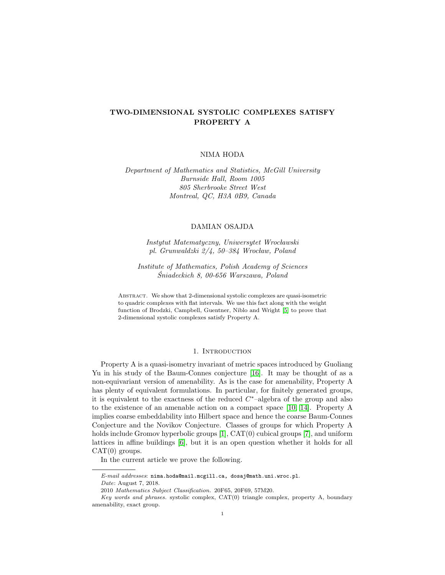# TWO-DIMENSIONAL SYSTOLIC COMPLEXES SATISFY PROPERTY A

## NIMA HODA

## Department of Mathematics and Statistics, McGill University Burnside Hall, Room 1005 805 Sherbrooke Street West Montreal, QC, H3A 0B9, Canada

#### DAMIAN OSAJDA

Instytut Matematyczny, Uniwersytet Wroclawski pl. Grunwaldzki 2/4, 50–384 Wroclaw, Poland

Institute of Mathematics, Polish Academy of Sciences Sniadeckich 8, 00-656 Warszawa, Poland ´

Abstract. We show that 2-dimensional systolic complexes are quasi-isometric to quadric complexes with flat intervals. We use this fact along with the weight function of Brodzki, Campbell, Guentner, Niblo and Wright [\[5\]](#page-6-0) to prove that 2-dimensional systolic complexes satisfy Property A.

#### 1. INTRODUCTION

Property A is a quasi-isometry invariant of metric spaces introduced by Guoliang Yu in his study of the Baum-Connes conjecture [\[16\]](#page-6-1). It may be thought of as a non-equivariant version of amenability. As is the case for amenability, Property A has plenty of equivalent formulations. In particular, for finitely generated groups, it is equivalent to the exactness of the reduced  $C^*$ -algebra of the group and also to the existence of an amenable action on a compact space [\[10,](#page-6-2) [14\]](#page-6-3). Property A implies coarse embeddability into Hilbert space and hence the coarse Baum-Connes Conjecture and the Novikov Conjecture. Classes of groups for which Property A holds include Gromov hyperbolic groups [\[1\]](#page-6-4), CAT(0) cubical groups [\[7\]](#page-6-5), and uniform lattices in affine buildings [\[6\]](#page-6-6), but it is an open question whether it holds for all  $CAT(0)$  groups.

In the current article we prove the following.

Date: August 7, 2018.

E-mail addresses: nima.hoda@mail.mcgill.ca, dosaj@math.uni.wroc.pl.

<sup>2010</sup> Mathematics Subject Classification. 20F65, 20F69, 57M20.

Key words and phrases. systolic complex, CAT(0) triangle complex, property A, boundary amenability, exact group.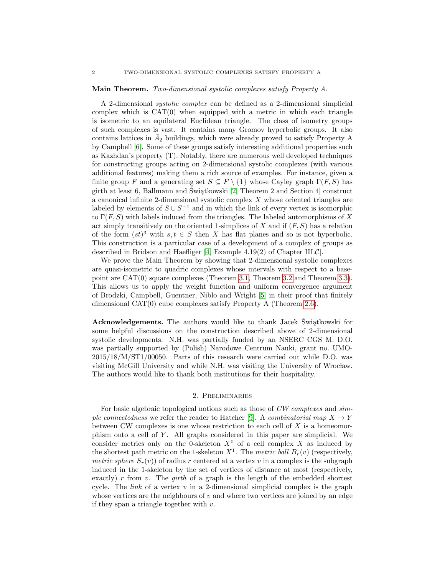#### Main Theorem. Two-dimensional systolic complexes satisfy Property A.

A 2-dimensional systolic complex can be defined as a 2-dimensional simplicial complex which is  $CAT(0)$  when equipped with a metric in which each triangle is isometric to an equilateral Euclidean triangle. The class of isometry groups of such complexes is vast. It contains many Gromov hyperbolic groups. It also contains lattices in  $\tilde{A}_2$  buildings, which were already proved to satisfy Property A by Campbell [\[6\]](#page-6-6). Some of these groups satisfy interesting additional properties such as Kazhdan's property (T). Notably, there are numerous well developed techniques for constructing groups acting on 2-dimensional systolic complexes (with various additional features) making them a rich source of examples. For instance, given a finite group F and a generating set  $S \subseteq F \setminus \{1\}$  whose Cayley graph  $\Gamma(F, S)$  has girth at least 6, Ballmann and Świątkowski  $[2,$  Theorem 2 and Section 4 construct a canonical infinite 2-dimensional systolic complex  $X$  whose oriented triangles are labeled by elements of  $S \cup S^{-1}$  and in which the link of every vertex is isomorphic to  $\Gamma(F, S)$  with labels induced from the triangles. The labeled automorphisms of X act simply transitively on the oriented 1-simplices of X and if  $(F, S)$  has a relation of the form  $(st)^3$  with  $s, t \in S$  then X has flat planes and so is not hyperbolic. This construction is a particular case of a development of a complex of groups as described in Bridson and Haefliger [\[4,](#page-6-8) Example 4.19(2) of Chapter III.C].

We prove the Main Theorem by showing that 2-dimensional systolic complexes are quasi-isometric to quadric complexes whose intervals with respect to a basepoint are CAT(0) square complexes (Theorem [3.1,](#page-4-0) Theorem [3.2](#page-5-0) and Theorem [3.3\)](#page-5-1). This allows us to apply the weight function and uniform convergence argument of Brodzki, Campbell, Guentner, Niblo and Wright [\[5\]](#page-6-0) in their proof that finitely dimensional CAT(0) cube complexes satisfy Property A (Theorem [2.6\)](#page-4-1).

Acknowledgements. The authors would like to thank Jacek Świątkowski for some helpful discussions on the construction described above of 2-dimensional systolic developments. N.H. was partially funded by an NSERC CGS M. D.O. was partially supported by (Polish) Narodowe Centrum Nauki, grant no. UMO-2015/18/M/ST1/00050. Parts of this research were carried out while D.O. was visiting McGill University and while N.H. was visiting the University of Wroclaw. The authors would like to thank both institutions for their hospitality.

#### 2. Preliminaries

For basic algebraic topological notions such as those of CW complexes and sim-ple connectedness we refer the reader to Hatcher [\[9\]](#page-6-9). A combinatorial map  $X \to Y$ between CW complexes is one whose restriction to each cell of  $X$  is a homeomorphism onto a cell of  $Y$ . All graphs considered in this paper are simplicial. We consider metrics only on the 0-skeleton  $X^0$  of a cell complex X as induced by the shortest path metric on the 1-skeleton  $X^1$ . The metric ball  $B_r(v)$  (respectively, metric sphere  $S_r(v)$  of radius r centered at a vertex v in a complex is the subgraph induced in the 1-skeleton by the set of vertices of distance at most (respectively, exactly) r from v. The *girth* of a graph is the length of the embedded shortest cycle. The *link* of a vertex  $v$  in a 2-dimensional simplicial complex is the graph whose vertices are the neighbours of  $v$  and where two vertices are joined by an edge if they span a triangle together with  $v$ .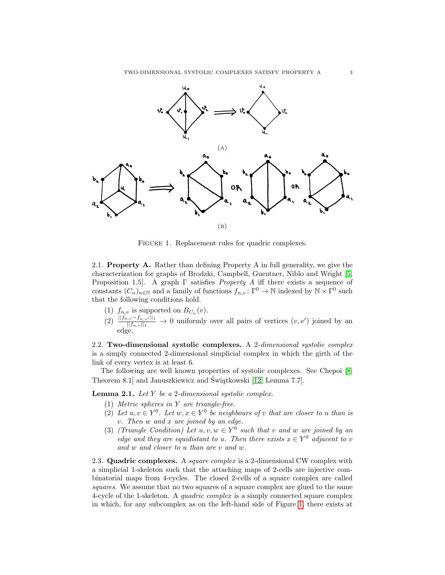<span id="page-2-0"></span>

FIGURE 1. Replacement rules for quadric complexes.

2.1. **Property A.** Rather than defining Property A in full generality, we give the characterization for graphs of Brodzki, Campbell, Guentner, Niblo and Wright [\[5,](#page-6-0) Proposition 1.5]. A graph  $\Gamma$  satisfies *Property A* iff there exists a sequence of constants  $(C_n)_{n\in\mathbb{N}}$  and a family of functions  $f_{n,v} : \Gamma^0 \to \mathbb{N}$  indexed by  $\mathbb{N} \times \Gamma^0$  such that the following conditions hold.

- (1)  $f_{n,v}$  is supported on  $B_{C_n}(v)$ .
- $(2) \frac{||f_{n,v}-f_{n,v'}||_1}{||f_{n,v}||_1}$  → 0 uniformly over all pairs of vertices  $(v, v')$  joined by an edge.

2.2. Two-dimensional systolic complexes. A 2-dimensional systolic complex is a simply connected 2-dimensional simplicial complex in which the girth of the link of every vertex is at least 6.

The following are well known properties of systolic complexes. See Chepoi [\[8,](#page-6-10) Theorem 8.1 and Januszkiewicz and Świątkowski [\[12,](#page-6-11) Lemma 7.7].

<span id="page-2-3"></span><span id="page-2-1"></span>**Lemma 2.1.** Let  $Y$  be a 2-dimensional systolic complex.

- (1) Metric spheres in Y are triangle-free.
- <span id="page-2-4"></span>(2) Let  $u, v \in Y^0$ . Let  $w, x \in Y^0$  be neighbours of v that are closer to u than is v. Then w and x are joined by an edge.
- <span id="page-2-2"></span>(3) (Triangle Condition) Let  $u, v, w \in Y^0$  such that v and w are joined by an edge and they are equidistant to u. Then there exists  $x \in Y^0$  adjacent to v and w and closer to u than are v and w.

2.3. Quadric complexes. A *square complex* is a 2-dimensional CW complex with a simplicial 1-skeleton such that the attaching maps of 2-cells are injective combinatorial maps from 4-cycles. The closed 2-cells of a square complex are called squares. We assume that no two squares of a square complex are glued to the same 4-cycle of the 1-skeleton. A quadric complex is a simply connected square complex in which, for any subcomplex as on the left-hand side of Figure [1,](#page-2-0) there exists at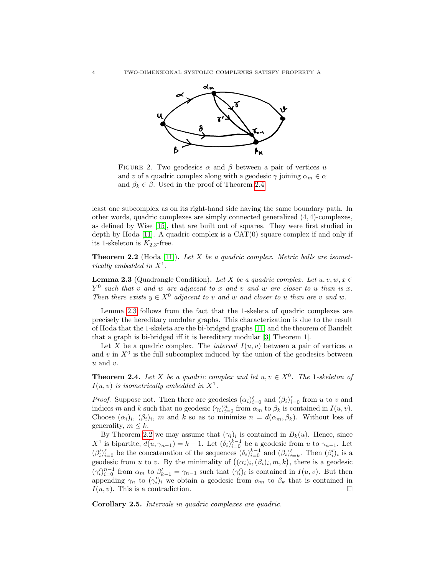

FIGURE 2. Two geodesics  $\alpha$  and  $\beta$  between a pair of vertices u and v of a quadric complex along with a geodesic  $\gamma$  joining  $\alpha_m \in \alpha$ and  $\beta_k \in \beta$ . Used in the proof of Theorem [2.4.](#page-3-0)

least one subcomplex as on its right-hand side having the same boundary path. In other words, quadric complexes are simply connected generalized (4, 4)-complexes, as defined by Wise [\[15\]](#page-6-12), that are built out of squares. They were first studied in depth by Hoda  $[11]$ . A quadric complex is a  $CAT(0)$  square complex if and only if its 1-skeleton is  $K_{2,3}$ -free.

<span id="page-3-2"></span>**Theorem 2.2** (Hoda [\[11\]](#page-6-13)). Let  $X$  be a quadric complex. Metric balls are isometrically embedded in  $X^1$ .

<span id="page-3-1"></span>**Lemma 2.3** (Quadrangle Condition). Let X be a quadric complex. Let  $u, v, w, x \in$  $Y^0$  such that v and w are adjacent to x and v and w are closer to u than is x. Then there exists  $y \in X^0$  adjacent to v and w and closer to u than are v and w.

Lemma [2.3](#page-3-1) follows from the fact that the 1-skeleta of quadric complexes are precisely the hereditary modular graphs. This characterization is due to the result of Hoda that the 1-skeleta are the bi-bridged graphs [\[11\]](#page-6-13) and the theorem of Bandelt that a graph is bi-bridged iff it is hereditary modular [\[3,](#page-6-14) Theorem 1].

Let X be a quadric complex. The *interval*  $I(u, v)$  between a pair of vertices u and v in  $X^0$  is the full subcomplex induced by the union of the geodesics between  $u$  and  $v$ .

<span id="page-3-0"></span>**Theorem 2.4.** Let X be a quadric complex and let  $u, v \in X^0$ . The 1-skeleton of  $I(u, v)$  is isometrically embedded in  $X^1$ .

*Proof.* Suppose not. Then there are geodesics  $(\alpha_i)_{i=0}^{\ell}$  and  $(\beta_i)_{i=0}^{\ell}$  from u to v and indices m and k such that no geodesic  $(\gamma_i)_{i=0}^n$  from  $\alpha_m$  to  $\beta_k$  is contained in  $I(u, v)$ . Choose  $(\alpha_i)_i$ ,  $(\beta_i)_i$ , m and k so as to minimize  $n = d(\alpha_m, \beta_k)$ . Without loss of generality,  $m \leq k$ .

By Theorem [2.2](#page-3-2) we may assume that  $(\gamma_i)_i$  is contained in  $B_k(u)$ . Hence, since  $X^1$  is bipartite,  $d(u, \gamma_{n-1}) = k - 1$ . Let  $(\delta_i)_{i=0}^{k-1}$  be a geodesic from u to  $\gamma_{n-1}$ . Let  $(\beta_i')_{i=0}^{\ell}$  be the concatenation of the sequences  $(\delta_i)_{i=0}^{k-1}$  and  $(\beta_i)_{i=k}^{\ell}$ . Then  $(\beta_i')_i$  is a geodesic from u to v. By the minimality of  $((\alpha_i)_i, (\beta_i)_i, m, k)$ , there is a geodesic  $(\gamma_i')_{i=0}^{n-1}$  from  $\alpha_m$  to  $\beta'_{k-1} = \gamma_{n-1}$  such that  $(\gamma_i')_i$  is contained in  $I(u, v)$ . But then appending  $\gamma_n$  to  $(\gamma'_i)_i$  we obtain a geodesic from  $\alpha_m$  to  $\beta_k$  that is contained in  $I(u, v)$ . This is a contradiction. □

<span id="page-3-3"></span>Corollary 2.5. Intervals in quadric complexes are quadric.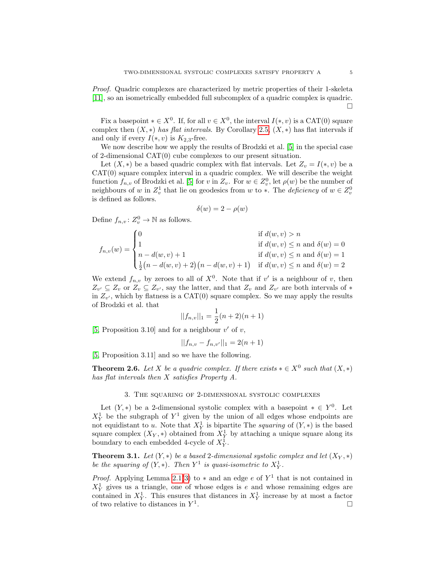Proof. Quadric complexes are characterized by metric properties of their 1-skeleta [\[11\]](#page-6-13), so an isometrically embedded full subcomplex of a quadric complex is quadric. □

Fix a basepoint  $* \in X^0$ . If, for all  $v \in X^0$ , the interval  $I(*, v)$  is a CAT(0) square complex then  $(X, *)$  has flat intervals. By Corollary [2.5,](#page-3-3)  $(X, *)$  has flat intervals if and only if every  $I(*, v)$  is  $K_{2,3}$ -free.

We now describe how we apply the results of Brodzki et al. [\[5\]](#page-6-0) in the special case of 2-dimensional CAT(0) cube complexes to our present situation.

Let  $(X, *)$  be a based quadric complex with flat intervals. Let  $Z_v = I(*, v)$  be a CAT(0) square complex interval in a quadric complex. We will describe the weight function  $f_{n,v}$  of Brodzki et al. [\[5\]](#page-6-0) for v in  $Z_v$ . For  $w \in Z_v^0$ , let  $\rho(w)$  be the number of neighbours of w in  $Z_v^1$  that lie on geodesics from w to  $*$ . The *deficiency* of  $w \in Z_v^0$ is defined as follows.

$$
\delta(w) = 2 - \rho(w)
$$

Define  $f_{n,v}: Z_v^0 \to \mathbb{N}$  as follows.

$$
f_{n,v}(w) = \begin{cases} 0 & \text{if } d(w,v) > n \\ 1 & \text{if } d(w,v) \le n \text{ and } \delta(w) = 0 \\ n - d(w,v) + 1 & \text{if } d(w,v) \le n \text{ and } \delta(w) = 1 \\ \frac{1}{2}(n - d(w,v) + 2)(n - d(w,v) + 1) & \text{if } d(w,v) \le n \text{ and } \delta(w) = 2 \end{cases}
$$

We extend  $f_{n,v}$  by zeroes to all of  $X^0$ . Note that if v' is a neighbour of v, then  $Z_{v'} \subseteq Z_v$  or  $Z_v \subseteq Z_{v'}$ , say the latter, and that  $Z_v$  and  $Z_{v'}$  are both intervals of  $*$ in  $Z_{v'}$ , which by flatness is a  $CAT(0)$  square complex. So we may apply the results of Brodzki et al. that

$$
||f_{n,v}||_1 = \frac{1}{2}(n+2)(n+1)
$$

[\[5,](#page-6-0) Proposition 3.10] and for a neighbour  $v'$  of  $v$ ,

$$
||f_{n,v} - f_{n,v'}||_1 = 2(n+1)
$$

[\[5,](#page-6-0) Proposition 3.11] and so we have the following.

<span id="page-4-1"></span>**Theorem 2.6.** Let X be a quadric complex. If there exists  $* \in X^0$  such that  $(X, *)$ has flat intervals then X satisfies Property A.

### 3. The squaring of 2-dimensional systolic complexes

Let  $(Y, *)$  be a 2-dimensional systolic complex with a basepoint  $* \in Y^0$ . Let  $X^1_Y$  be the subgraph of  $Y^1$  given by the union of all edges whose endpoints are not equidistant to u. Note that  $X^1_Y$  is bipartite The squaring of  $(Y, *)$  is the based square complex  $(X_Y, *)$  obtained from  $X_Y^1$  by attaching a unique square along its boundary to each embedded 4-cycle of  $X^1_Y$ .

<span id="page-4-0"></span>**Theorem 3.1.** Let  $(Y, *)$  be a based 2-dimensional systolic complex and let  $(X_Y, *)$ be the squaring of  $(Y, *)$ . Then  $Y^1$  is quasi-isometric to  $X^1_Y$ .

*Proof.* Applying Lemma [2.1\(](#page-2-1)[3\)](#page-2-2) to  $*$  and an edge e of  $Y<sup>1</sup>$  that is not contained in  $X_Y^1$  gives us a triangle, one of whose edges is e and whose remaining edges are contained in  $X^1_Y$ . This ensures that distances in  $X^1_Y$  increase by at most a factor of two relative to distances in  $Y^1$ . <sup>:</sup> □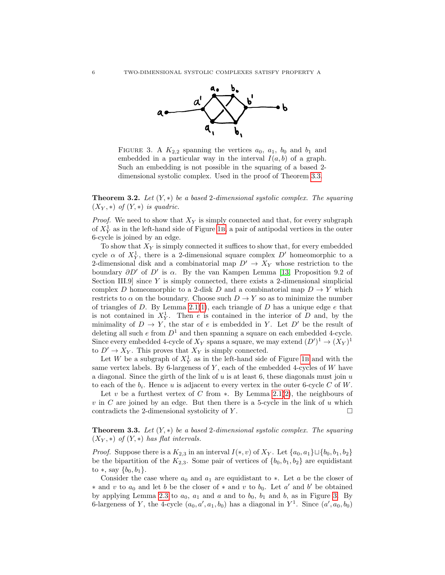<span id="page-5-2"></span>

FIGURE 3. A  $K_{2,2}$  spanning the vertices  $a_0$ ,  $a_1$ ,  $b_0$  and  $b_1$  and embedded in a particular way in the interval  $I(a, b)$  of a graph. Such an embedding is not possible in the squaring of a based 2 dimensional systolic complex. Used in the proof of Theorem [3.3.](#page-5-1)

<span id="page-5-0"></span>**Theorem 3.2.** Let  $(Y, *)$  be a based 2-dimensional systolic complex. The squaring  $(X_Y, *)$  of  $(Y, *)$  is quadric.

*Proof.* We need to show that  $X_Y$  is simply connected and that, for every subgraph of  $X^1_Y$  as in the left-hand side of Figure [1](#page-2-0)B, a pair of antipodal vertices in the outer 6-cycle is joined by an edge.

To show that  $X_Y$  is simply connected it suffices to show that, for every embedded cycle  $\alpha$  of  $X^1_Y$ , there is a 2-dimensional square complex  $D'$  homeomorphic to a 2-dimensional disk and a combinatorial map  $D' \rightarrow X_Y$  whose restriction to the boundary  $\partial D'$  of  $D'$  is  $\alpha$ . By the van Kampen Lemma [\[13,](#page-6-15) Proposition 9.2 of Section III.9 since  $Y$  is simply connected, there exists a 2-dimensional simplicial complex D homeomorphic to a 2-disk D and a combinatorial map  $D \to Y$  which restricts to  $\alpha$  on the boundary. Choose such  $D \to Y$  so as to minimize the number of triangles of  $D$ . By Lemma [2.1\(](#page-2-1)[1\)](#page-2-3), each triangle of  $D$  has a unique edge  $e$  that is not contained in  $X^1_Y$ . Then e is contained in the interior of D and, by the minimality of  $D \to Y$ , the star of e is embedded in Y. Let D' be the result of deleting all such  $e$  from  $D^1$  and then spanning a square on each embedded 4-cycle. Since every embedded 4-cycle of  $X_Y$  spans a square, we may extend  $(D')^1 \to (X_Y)^1$ to  $D' \to X_Y$ . This proves that  $X_Y$  is simply connected.

Let W be a subgraph of  $X^1_Y$  as in the left-hand side of Figure [1](#page-2-0)B and with the same vertex labels. By 6-largeness of  $Y$ , each of the embedded 4-cycles of  $W$  have a diagonal. Since the girth of the link of  $u$  is at least 6, these diagonals must join  $u$ to each of the  $b_i$ . Hence u is adjacent to every vertex in the outer 6-cycle C of W.

Let v be a furthest vertex of C from ∗. By Lemma [2.1](#page-2-1)[\(2\)](#page-2-4), the neighbours of  $v$  in  $C$  are joined by an edge. But then there is a 5-cycle in the link of  $u$  which contradicts the 2-dimensional systolicity of  $Y$ .  $\Box$ 

<span id="page-5-1"></span>**Theorem 3.3.** Let  $(Y, *)$  be a based 2-dimensional systolic complex. The squaring  $(X_Y, *)$  of  $(Y, *)$  has flat intervals.

*Proof.* Suppose there is a  $K_{2,3}$  in an interval  $I(*, v)$  of  $X_Y$ . Let  $\{a_0, a_1\} \sqcup \{b_0, b_1, b_2\}$ be the bipartition of the  $K_{2,3}$ . Some pair of vertices of  $\{b_0, b_1, b_2\}$  are equidistant to  $*$ , say  $\{b_0, b_1\}.$ 

Consider the case where  $a_0$  and  $a_1$  are equidistant to  $\ast$ . Let a be the closer of \* and v to  $a_0$  and let b be the closer of \* and v to  $b_0$ . Let a' and b' be obtained by applying Lemma [2.3](#page-3-1) to  $a_0$ ,  $a_1$  and  $a$  and to  $b_0$ ,  $b_1$  and  $b$ , as in Figure [3.](#page-5-2) By 6-largeness of Y, the 4-cycle  $(a_0, a', a_1, b_0)$  has a diagonal in Y<sup>1</sup>. Since  $(a', a_0, b_0)$